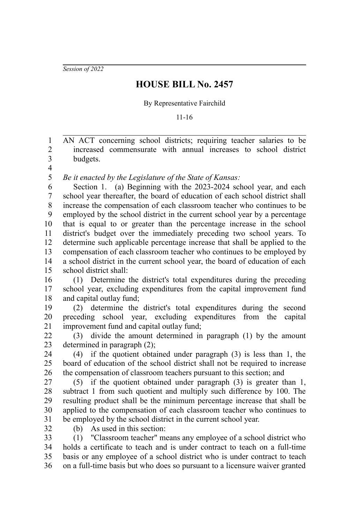*Session of 2022*

## **HOUSE BILL No. 2457**

By Representative Fairchild

11-16

AN ACT concerning school districts; requiring teacher salaries to be increased commensurate with annual increases to school district budgets. 1 2 3

4

*Be it enacted by the Legislature of the State of Kansas:* 5

Section 1. (a) Beginning with the 2023-2024 school year, and each school year thereafter, the board of education of each school district shall increase the compensation of each classroom teacher who continues to be employed by the school district in the current school year by a percentage that is equal to or greater than the percentage increase in the school district's budget over the immediately preceding two school years. To determine such applicable percentage increase that shall be applied to the compensation of each classroom teacher who continues to be employed by a school district in the current school year, the board of education of each school district shall: 6 7 8 9 10 11 12 13 14 15

(1) Determine the district's total expenditures during the preceding school year, excluding expenditures from the capital improvement fund and capital outlay fund; 16 17 18

(2) determine the district's total expenditures during the second preceding school year, excluding expenditures from the capital improvement fund and capital outlay fund; 19 20 21

(3) divide the amount determined in paragraph (1) by the amount determined in paragraph (2); 22  $23$ 

(4) if the quotient obtained under paragraph (3) is less than 1, the board of education of the school district shall not be required to increase the compensation of classroom teachers pursuant to this section; and 24 25 26

(5) if the quotient obtained under paragraph (3) is greater than 1, subtract 1 from such quotient and multiply such difference by 100. The resulting product shall be the minimum percentage increase that shall be applied to the compensation of each classroom teacher who continues to be employed by the school district in the current school year. 27 28 29 30 31

32

(b) As used in this section:

(1) "Classroom teacher" means any employee of a school district who holds a certificate to teach and is under contract to teach on a full-time basis or any employee of a school district who is under contract to teach on a full-time basis but who does so pursuant to a licensure waiver granted 33 34 35 36